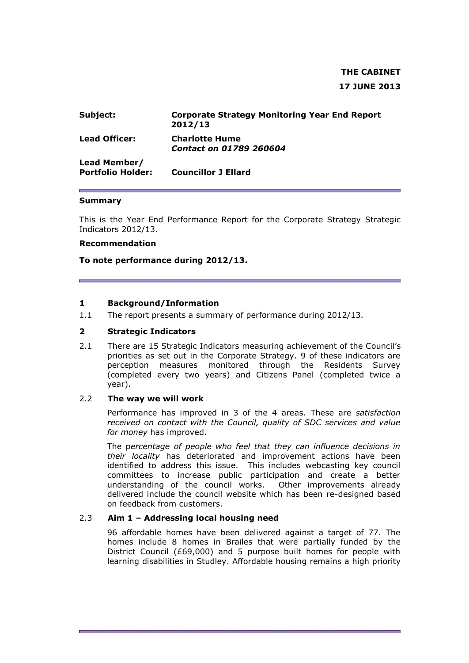# **THE CABINET 17 JUNE 2013**

| Subject:                                 | <b>Corporate Strategy Monitoring Year End Report</b><br>2012/13 |
|------------------------------------------|-----------------------------------------------------------------|
| <b>Lead Officer:</b>                     | <b>Charlotte Hume</b><br><b>Contact on 01789 260604</b>         |
| Lead Member/<br><b>Portfolio Holder:</b> | <b>Councillor J Ellard</b>                                      |

### **Summary**

This is the Year End Performance Report for the Corporate Strategy Strategic Indicators 2012/13.

#### **Recommendation**

**To note performance during 2012/13.** 

### **1 Background/Information**

1.1 The report presents a summary of performance during 2012/13.

### **2 Strategic Indicators**

2.1 There are 15 Strategic Indicators measuring achievement of the Council's priorities as set out in the Corporate Strategy. 9 of these indicators are perception measures monitored through the Residents Survey (completed every two years) and Citizens Panel (completed twice a year).

#### 2.2 **The way we will work**

Performance has improved in 3 of the 4 areas. These are *satisfaction received on contact with the Council, quality of SDC services and value for money* has improved.

The p*ercentage of people who feel that they can influence decisions in their locality* has deteriorated and improvement actions have been identified to address this issue. This includes webcasting key council committees to increase public participation and create a better understanding of the council works. Other improvements already delivered include the council website which has been re-designed based on feedback from customers.

### 2.3 **Aim 1 – Addressing local housing need**

96 affordable homes have been delivered against a target of 77. The homes include 8 homes in Brailes that were partially funded by the District Council (£69,000) and 5 purpose built homes for people with learning disabilities in Studley. Affordable housing remains a high priority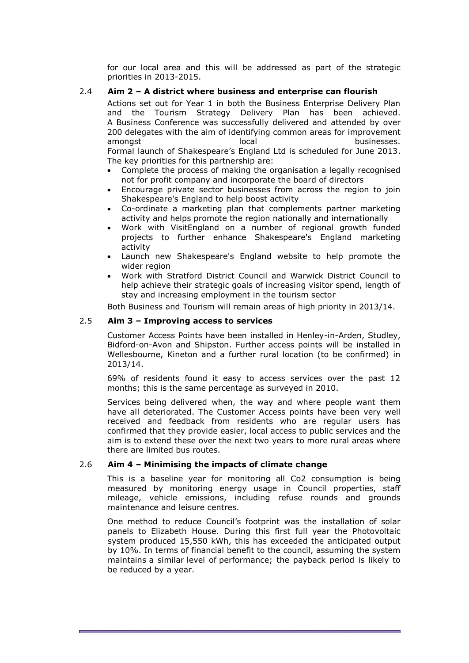for our local area and this will be addressed as part of the strategic priorities in 2013-2015.

### 2.4 **Aim 2 – A district where business and enterprise can flourish**

Actions set out for Year 1 in both the Business Enterprise Delivery Plan and the Tourism Strategy Delivery Plan has been achieved. A Business Conference was successfully delivered and attended by over 200 delegates with the aim of identifying common areas for improvement amongst amongst and local businesses. Formal launch of Shakespeare's England Ltd is scheduled for June 2013. The key priorities for this partnership are:

- Complete the process of making the organisation a legally recognised not for profit company and incorporate the board of directors
- Encourage private sector businesses from across the region to join Shakespeare's England to help boost activity
- Co-ordinate a marketing plan that complements partner marketing activity and helps promote the region nationally and internationally
- Work with VisitEngland on a number of regional growth funded projects to further enhance Shakespeare's England marketing activity
- Launch new Shakespeare's England website to help promote the wider region
- Work with Stratford District Council and Warwick District Council to help achieve their strategic goals of increasing visitor spend, length of stay and increasing employment in the tourism sector

Both Business and Tourism will remain areas of high priority in 2013/14.

### 2.5 **Aim 3 – Improving access to services**

Customer Access Points have been installed in Henley-in-Arden, Studley, Bidford-on-Avon and Shipston. Further access points will be installed in Wellesbourne, Kineton and a further rural location (to be confirmed) in 2013/14.

69% of residents found it easy to access services over the past 12 months; this is the same percentage as surveyed in 2010.

Services being delivered when, the way and where people want them have all deteriorated. The Customer Access points have been very well received and feedback from residents who are regular users has confirmed that they provide easier, local access to public services and the aim is to extend these over the next two years to more rural areas where there are limited bus routes.

#### 2.6 **Aim 4 – Minimising the impacts of climate change**

This is a baseline year for monitoring all Co2 consumption is being measured by monitoring energy usage in Council properties, staff mileage, vehicle emissions, including refuse rounds and grounds maintenance and leisure centres.

One method to reduce Council's footprint was the installation of solar panels to Elizabeth House. During this first full year the Photovoltaic system produced 15,550 kWh, this has exceeded the anticipated output by 10%. In terms of financial benefit to the council, assuming the system maintains a similar level of performance; the payback period is likely to be reduced by a year.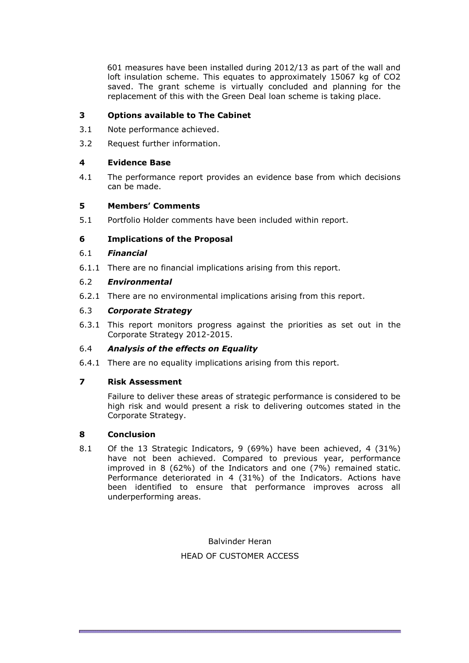601 measures have been installed during 2012/13 as part of the wall and loft insulation scheme. This equates to approximately 15067 kg of CO2 saved. The grant scheme is virtually concluded and planning for the replacement of this with the Green Deal loan scheme is taking place.

# **3 Options available to The Cabinet**

- 3.1 Note performance achieved.
- 3.2 Request further information.

# **4 Evidence Base**

4.1 The performance report provides an evidence base from which decisions can be made.

# **5 Members' Comments**

5.1 Portfolio Holder comments have been included within report.

# **6 Implications of the Proposal**

# 6.1 *Financial*

6.1.1 There are no financial implications arising from this report.

# 6.2 *Environmental*

6.2.1 There are no environmental implications arising from this report.

# 6.3 *Corporate Strategy*

6.3.1 This report monitors progress against the priorities as set out in the Corporate Strategy 2012-2015.

# 6.4 *Analysis of the effects on Equality*

6.4.1 There are no equality implications arising from this report.

# **7 Risk Assessment**

Failure to deliver these areas of strategic performance is considered to be high risk and would present a risk to delivering outcomes stated in the Corporate Strategy.

# **8 Conclusion**

8.1 Of the 13 Strategic Indicators, 9 (69%) have been achieved, 4 (31%) have not been achieved. Compared to previous year, performance improved in 8 (62%) of the Indicators and one (7%) remained static. Performance deteriorated in 4 (31%) of the Indicators. Actions have been identified to ensure that performance improves across all underperforming areas.

> Balvinder Heran HEAD OF CUSTOMER ACCESS